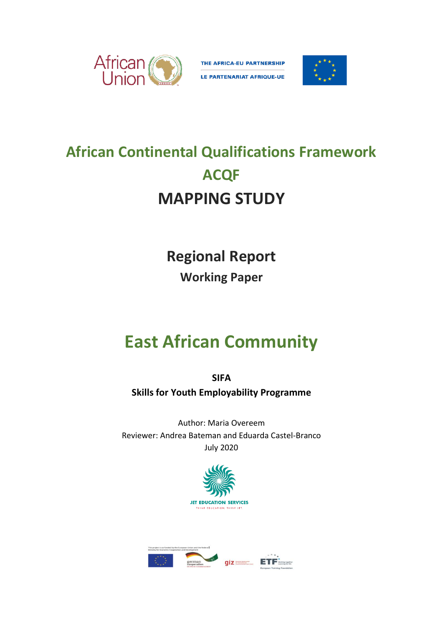

THE AFRICA-EU PARTNERSHIP



# **African Continental Qualifications Framework ACQF MAPPING STUDY**

**Regional Report Working Paper**

# **East African Community**

**SIFA Skills for Youth Employability Programme**

Author: Maria Overeem Reviewer: Andrea Bateman and Eduarda Castel-Branco July 2020



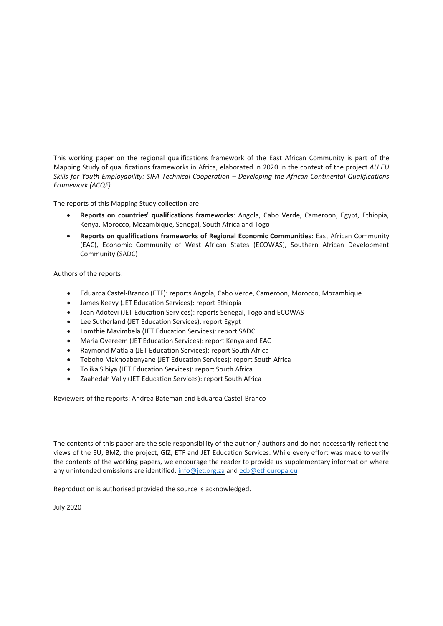This working paper on the regional qualifications framework of the East African Community is part of the Mapping Study of qualifications frameworks in Africa, elaborated in 2020 in the context of the project *AU EU Skills for Youth Employability: SIFA Technical Cooperation - Developing the African Continental Qualifications Framework (ACQF).*

The reports of this Mapping Study collection are:

- **Reports on countries' qualifications frameworks**: Angola, Cabo Verde, Cameroon, Egypt, Ethiopia, Kenya, Morocco, Mozambique, Senegal, South Africa and Togo
- **Reports on qualifications frameworks of Regional Economic Communities**: East African Community (EAC), Economic Community of West African States (ECOWAS), Southern African Development Community (SADC)

Authors of the reports:

- Eduarda Castel-Branco (ETF): reports Angola, Cabo Verde, Cameroon, Morocco, Mozambique
- James Keevy (JET Education Services): report Ethiopia
- Jean Adotevi (JET Education Services): reports Senegal, Togo and ECOWAS
- Lee Sutherland (JET Education Services): report Egypt
- Lomthie Mavimbela (JET Education Services): report SADC
- Maria Overeem (JET Education Services): report Kenya and EAC
- Raymond Matlala (JET Education Services): report South Africa
- Teboho Makhoabenyane (JET Education Services): report South Africa
- Tolika Sibiya (JET Education Services): report South Africa
- Zaahedah Vally (JET Education Services): report South Africa

Reviewers of the reports: Andrea Bateman and Eduarda Castel-Branco

The contents of this paper are the sole responsibility of the author / authors and do not necessarily reflect the views of the EU, BMZ, the project, GIZ, ETF and JET Education Services. While every effort was made to verify the contents of the working papers, we encourage the reader to provide us supplementary information where any unintended omissions are identified: [info@jet.org.za](mailto:info@jet.org.za) and [ecb@etf.europa.eu](mailto:ecb@etf.europa.eu)

Reproduction is authorised provided the source is acknowledged.

July 2020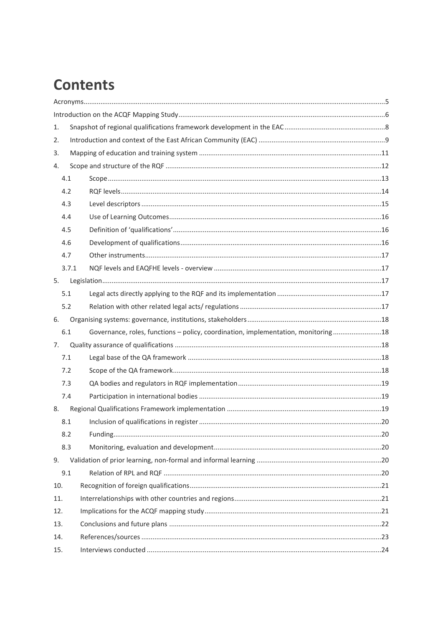### **Contents**

| 1.  |       |                                                                                   |  |  |  |
|-----|-------|-----------------------------------------------------------------------------------|--|--|--|
| 2.  |       |                                                                                   |  |  |  |
| 3.  |       |                                                                                   |  |  |  |
| 4.  |       |                                                                                   |  |  |  |
|     | 4.1   |                                                                                   |  |  |  |
|     | 4.2   |                                                                                   |  |  |  |
|     | 4.3   |                                                                                   |  |  |  |
|     | 4.4   |                                                                                   |  |  |  |
|     | 4.5   |                                                                                   |  |  |  |
|     | 4.6   |                                                                                   |  |  |  |
|     | 4.7   |                                                                                   |  |  |  |
|     | 3.7.1 |                                                                                   |  |  |  |
| 5.  |       |                                                                                   |  |  |  |
|     | 5.1   |                                                                                   |  |  |  |
|     | 5.2   |                                                                                   |  |  |  |
| 6.  |       |                                                                                   |  |  |  |
|     | 6.1   | Governance, roles, functions - policy, coordination, implementation, monitoring18 |  |  |  |
| 7.  |       |                                                                                   |  |  |  |
|     | 7.1   |                                                                                   |  |  |  |
|     | 7.2   |                                                                                   |  |  |  |
|     | 7.3   |                                                                                   |  |  |  |
|     | 7.4   |                                                                                   |  |  |  |
| 8.  |       |                                                                                   |  |  |  |
|     | 8.1   |                                                                                   |  |  |  |
|     | 8.2   |                                                                                   |  |  |  |
|     | 8.3   |                                                                                   |  |  |  |
| 9.  |       |                                                                                   |  |  |  |
|     | 9.1   |                                                                                   |  |  |  |
| 10. |       |                                                                                   |  |  |  |
| 11. |       |                                                                                   |  |  |  |
| 12. |       |                                                                                   |  |  |  |
| 13. |       |                                                                                   |  |  |  |
| 14. |       |                                                                                   |  |  |  |
| 15. |       |                                                                                   |  |  |  |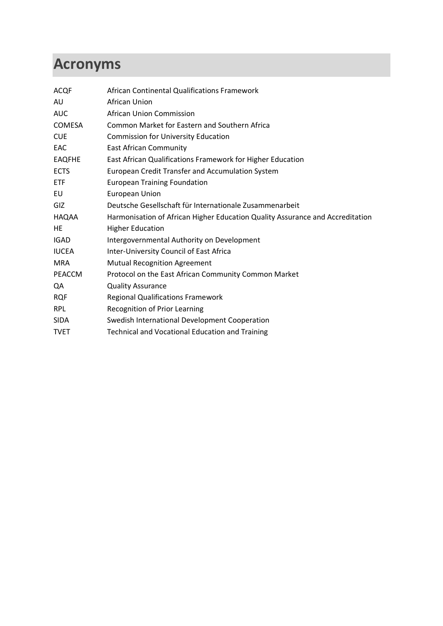# <span id="page-4-0"></span>**Acronyms**

| <b>ACQF</b>   | African Continental Qualifications Framework                                  |
|---------------|-------------------------------------------------------------------------------|
| AU            | African Union                                                                 |
| <b>AUC</b>    | African Union Commission                                                      |
| COMESA        | <b>Common Market for Eastern and Southern Africa</b>                          |
| <b>CUE</b>    | <b>Commission for University Education</b>                                    |
| EAC           | <b>East African Community</b>                                                 |
| <b>EAQFHE</b> | East African Qualifications Framework for Higher Education                    |
| <b>ECTS</b>   | European Credit Transfer and Accumulation System                              |
| <b>ETF</b>    | <b>European Training Foundation</b>                                           |
| EU            | <b>European Union</b>                                                         |
| GIZ           | Deutsche Gesellschaft für Internationale Zusammenarbeit                       |
| HAQAA         | Harmonisation of African Higher Education Quality Assurance and Accreditation |
| HE            | <b>Higher Education</b>                                                       |
| <b>IGAD</b>   | Intergovernmental Authority on Development                                    |
| <b>IUCEA</b>  | Inter-University Council of East Africa                                       |
| <b>MRA</b>    | <b>Mutual Recognition Agreement</b>                                           |
| <b>PEACCM</b> | Protocol on the East African Community Common Market                          |
| QA            | <b>Quality Assurance</b>                                                      |
| <b>RQF</b>    | <b>Regional Qualifications Framework</b>                                      |
| <b>RPL</b>    | Recognition of Prior Learning                                                 |
| <b>SIDA</b>   | Swedish International Development Cooperation                                 |
| <b>TVET</b>   | Technical and Vocational Education and Training                               |
|               |                                                                               |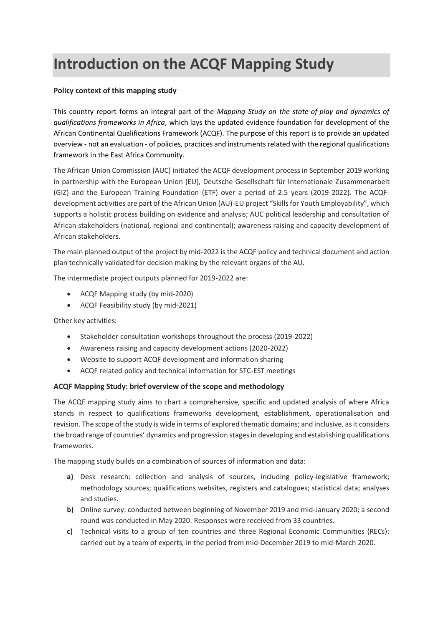# <span id="page-5-0"></span>**Introduction on the ACQF Mapping Study**

#### **Policy context of this mapping study**

This country report forms an integral part of the *Mapping Study on the state-of-play and dynamics of qualifications frameworks in Africa*, which lays the updated evidence foundation for development of the African Continental Qualifications Framework (ACQF). The purpose of this report is to provide an updated overview - not an evaluation - of policies, practices and instruments related with the regional qualifications framework in the East Africa Community.

The African Union Commission (AUC) initiated the ACQF development process in September 2019 working in partnership with the European Union (EU), Deutsche Gesellschaft für Internationale Zusammenarbeit (GIZ) and the European Training Foundation (ETF) over a period of 2.5 years (2019-2022). The ACQFdevelopment activities are part of the African Union (AU)-EU project "Skills for Youth Employability", which supports a holistic process building on evidence and analysis; AUC political leadership and consultation of African stakeholders (national, regional and continental); awareness raising and capacity development of African stakeholders.

The main planned output of the project by mid-2022 is the ACQF policy and technical document and action plan technically validated for decision making by the relevant organs of the AU.

The intermediate project outputs planned for 2019-2022 are:

- ACQF Mapping study (by mid-2020)
- ACQF Feasibility study (by mid-2021)

Other key activities:

- Stakeholder consultation workshops throughout the process (2019-2022)
- Awareness raising and capacity development actions (2020-2022)
- Website to support ACQF development and information sharing
- ACQF related policy and technical information for STC-EST meetings

#### **ACQF Mapping Study: brief overview of the scope and methodology**

The ACQF mapping study aims to chart a comprehensive, specific and updated analysis of where Africa stands in respect to qualifications frameworks development, establishment, operationalisation and revision. The scope of the study is wide in terms of explored thematic domains; and inclusive, as it considers the broad range of countries' dynamics and progression stages in developing and establishing qualifications frameworks.

The mapping study builds on a combination of sources of information and data:

- **a)** Desk research: collection and analysis of sources, including policy-legislative framework; methodology sources; qualifications websites, registers and catalogues; statistical data; analyses and studies.
- **b)** Online survey: conducted between beginning of November 2019 and mid-January 2020; a second round was conducted in May 2020. Responses were received from 33 countries.
- **c)** Technical visits to a group of ten countries and three Regional Economic Communities (RECs): carried out by a team of experts, in the period from mid-December 2019 to mid-March 2020.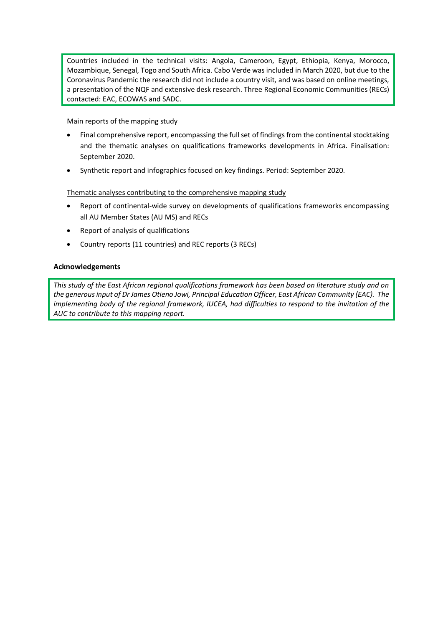Countries included in the technical visits: Angola, Cameroon, Egypt, Ethiopia, Kenya, Morocco, Mozambique, Senegal, Togo and South Africa. Cabo Verde was included in March 2020, but due to the Coronavirus Pandemic the research did not include a country visit, and was based on online meetings, a presentation of the NQF and extensive desk research. Three Regional Economic Communities (RECs) contacted: EAC, ECOWAS and SADC.

#### Main reports of the mapping study

- Final comprehensive report, encompassing the full set of findings from the continental stocktaking and the thematic analyses on qualifications frameworks developments in Africa. Finalisation: September 2020.
- Synthetic report and infographics focused on key findings. Period: September 2020.

#### Thematic analyses contributing to the comprehensive mapping study

- Report of continental-wide survey on developments of qualifications frameworks encompassing all AU Member States (AU MS) and RECs
- Report of analysis of qualifications
- Country reports (11 countries) and REC reports (3 RECs)

#### **Acknowledgements**

*This study of the East African regional qualifications framework has been based on literature study and on the generous input of Dr James Otieno Jowi, Principal Education Officer, East African Community (EAC). The implementing body of the regional framework, IUCEA, had difficulties to respond to the invitation of the AUC to contribute to this mapping report.*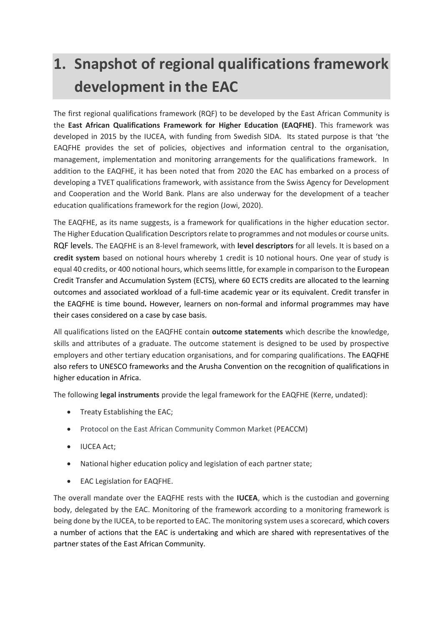# <span id="page-7-0"></span>**1. Snapshot of regional qualifications framework development in the EAC**

The first regional qualifications framework (RQF) to be developed by the East African Community is the **East African Qualifications Framework for Higher Education (EAQFHE)**. This framework was developed in 2015 by the IUCEA, with funding from Swedish SIDA. Its stated purpose is that 'the EAQFHE provides the set of policies, objectives and information central to the organisation, management, implementation and monitoring arrangements for the qualifications framework. In addition to the EAQFHE, it has been noted that from 2020 the EAC has embarked on a process of developing a TVET qualifications framework, with assistance from the Swiss Agency for Development and Cooperation and the World Bank. Plans are also underway for the development of a teacher education qualifications framework for the region (Jowi, 2020).

The EAQFHE, as its name suggests, is a framework for qualifications in the higher education sector. The Higher Education Qualification Descriptors relate to programmes and not modules or course units. RQF levels. The EAQFHE is an 8-level framework, with **level descriptors** for all levels. It is based on a **credit system** based on notional hours whereby 1 credit is 10 notional hours. One year of study is equal 40 credits, or 400 notional hours, which seems little, for example in comparison to the European Credit Transfer and Accumulation System (ECTS), where 60 ECTS credits are allocated to the learning outcomes and associated workload of a full-time academic year or its equivalent. Credit transfer in the EAQFHE is time bound**.** However, learners on non-formal and informal programmes may have their cases considered on a case by case basis.

All qualifications listed on the EAQFHE contain **outcome statements** which describe the knowledge, skills and attributes of a graduate. The outcome statement is designed to be used by prospective employers and other tertiary education organisations, and for comparing qualifications. The EAQFHE also refers to UNESCO frameworks and the Arusha Convention on the recognition of qualifications in higher education in Africa.

The following **legal instruments** provide the legal framework for the EAQFHE (Kerre, undated):

- Treaty Establishing the EAC;
- Protocol on the East African Community Common Market (PEACCM)
- IUCEA Act;
- National higher education policy and legislation of each partner state;
- EAC Legislation for EAQFHE.

The overall mandate over the EAQFHE rests with the **IUCEA**, which is the custodian and governing body, delegated by the EAC. Monitoring of the framework according to a monitoring framework is being done by the IUCEA, to be reported to EAC. The monitoring system uses a scorecard, which covers a number of actions that the EAC is undertaking and which are shared with representatives of the partner states of the East African Community.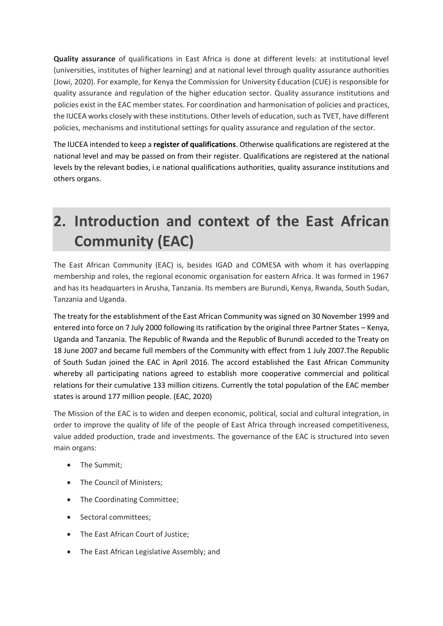**Quality assurance** of qualifications in East Africa is done at different levels: at institutional level (universities, institutes of higher learning) and at national level through quality assurance authorities (Jowi, 2020). For example, for Kenya the Commission for University Education (CUE) is responsible for quality assurance and regulation of the higher education sector. Quality assurance institutions and policies exist in the EAC member states. For coordination and harmonisation of policies and practices, the IUCEA works closely with these institutions. Other levels of education, such as TVET, have different policies, mechanisms and institutional settings for quality assurance and regulation of the sector.

The IUCEA intended to keep a **register of qualifications**. Otherwise qualifications are registered at the national level and may be passed on from their register. Qualifications are registered at the national levels by the relevant bodies, i.e national qualifications authorities, quality assurance institutions and others organs.

### <span id="page-8-0"></span>**2. Introduction and context of the East African Community (EAC)**

The East African Community (EAC) is, besides IGAD and COMESA with whom it has overlapping membership and roles, the regional economic organisation for eastern Africa. It was formed in 1967 and has its headquarters in Arusha, Tanzania. Its members are Burundi, Kenya, Rwanda, South Sudan, Tanzania and Uganda.

The treaty for the establishment of the East African Community was signed on 30 November 1999 and entered into force on 7 July 2000 following its ratification by the original three Partner States – [Kenya,](https://en.wikipedia.org/wiki/Kenya) [Uganda](https://en.wikipedia.org/wiki/Uganda) and [Tanzania.](https://en.wikipedia.org/wiki/Tanzania) The [Republic of Rwanda](https://en.wikipedia.org/wiki/Republic_of_Rwanda) and the [Republic of Burundi](https://en.wikipedia.org/wiki/Burundi) acceded to the Treaty on 18 June 2007 and became full members of the Community with effect from 1 July 2007.The Republic of South Sudan joined the EAC in April 2016. The accord established the [East African Community](https://en.wikipedia.org/wiki/East_African_Community) whereby all participating nations agreed to establish more cooperative commercial and political relations for their cumulative 133 million citizens. Currently the total population of the EAC member states is around 177 million people. (EAC, 2020)

The Mission of the EAC is to widen and deepen economic, political, social and cultural integration, in order to improve the quality of life of the people of East Africa through increased competitiveness, value added production, trade and investments. The governance of the EAC is structured into seven main organs:

- The Summit;
- The Council of Ministers;
- The Coordinating Committee;
- Sectoral committees;
- The East African Court of Justice;
- The East African Legislative Assembly; and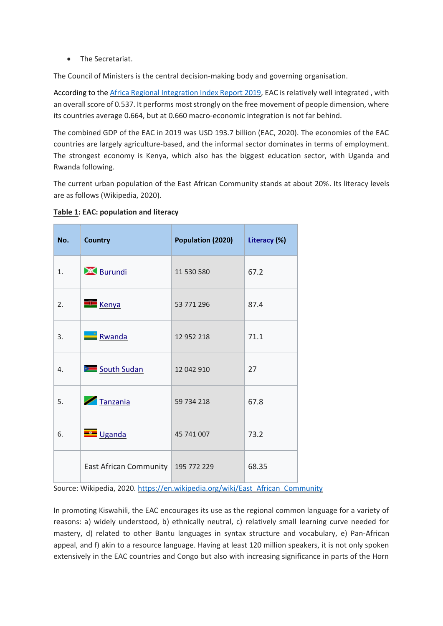• The Secretariat.

The Council of Ministers is the central decision-making body and governing organisation.

According to the Africa Regional [Integration Index Report 2019,](file:///C:/Users/Eduardacastel-branco/Desktop/-%09African%20Union,%20AFDB,%20UN%20ECA,%20Africa%20Regional%20Integration%20Index%20Report%202019.%20At:%20https:/www.integrate-africa.org/reports-data/download-the-reports) EAC is relatively well integrated , with an overall score of 0.537. It performs most strongly on the free movement of people dimension, where its countries average 0.664, but at 0.660 macro-economic integration is not far behind.

The combined GDP of the EAC in 2019 was USD 193.7 billion (EAC, 2020). The economies of the EAC countries are largely agriculture-based, and the informal sector dominates in terms of employment. The strongest economy is Kenya, which also has the biggest education sector, with Uganda and Rwanda following.

The current urban population of the East African Community stands at about 20%. Its literacy levels are as follows (Wikipedia, 2020).

|  |  | Table 1: EAC: population and literacy |  |
|--|--|---------------------------------------|--|
|--|--|---------------------------------------|--|

| No. | <b>Country</b>                       | Population (2020) | Literacy (%) |
|-----|--------------------------------------|-------------------|--------------|
| 1.  | <b>Burundi</b>                       | 11 530 580        | 67.2         |
| 2.  | <b>Kenya</b>                         | 53 771 296        | 87.4         |
| 3.  | Rwanda                               | 12 952 218        | 71.1         |
| 4.  | South Sudan                          | 12 042 910        | 27           |
| 5.  | Tanzania                             | 59 734 218        | 67.8         |
| 6.  | $\blacksquare$ Uganda                | 45 741 007        | 73.2         |
|     | East African Community   195 772 229 |                   | 68.35        |

Source: Wikipedia, 2020. [https://en.wikipedia.org/wiki/East\\_African\\_Community](https://en.wikipedia.org/wiki/East_African_Community)

In promoting Kiswahili, the EAC encourages its use as the regional common language for a variety of reasons: a) widely understood, b) ethnically neutral, c) relatively small learning curve needed for mastery, d) related to other Bantu languages in syntax structure and vocabulary, e) Pan-African appeal, and f) akin to a resource language. Having at least 120 million speakers, it is not only spoken extensively in the EAC countries and Congo but also with increasing significance in parts of the Horn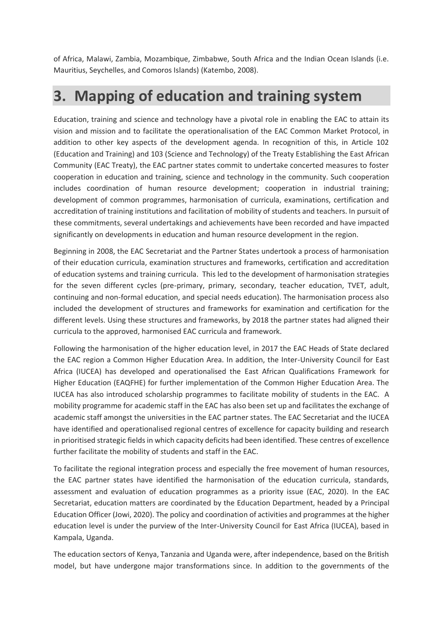of Africa, Malawi, Zambia, Mozambique, Zimbabwe, South Africa and the Indian Ocean Islands (i.e. Mauritius, Seychelles, and Comoros Islands) (Katembo, 2008).

### <span id="page-10-0"></span>**3. Mapping of education and training system**

Education, training and science and technology have a pivotal role in enabling the EAC to attain its vision and mission and to facilitate the operationalisation of the EAC Common Market Protocol, in addition to other key aspects of the development agenda. In recognition of this, in Article 102 (Education and Training) and 103 (Science and Technology) of the Treaty Establishing the East African Community (EAC Treaty), the EAC partner states commit to undertake concerted measures to foster cooperation in education and training, science and technology in the community. Such cooperation includes coordination of human resource development; cooperation in industrial training; development of common programmes, harmonisation of curricula, examinations, certification and accreditation of training institutions and facilitation of mobility of students and teachers. In pursuit of these commitments, several undertakings and achievements have been recorded and have impacted significantly on developments in education and human resource development in the region.

Beginning in 2008, the EAC Secretariat and the Partner States undertook a process of harmonisation of their education curricula, examination structures and frameworks, certification and accreditation of education systems and training curricula. This led to the development of harmonisation strategies for the seven different cycles (pre-primary, primary, secondary, teacher education, TVET, adult, continuing and non-formal education, and special needs education). The harmonisation process also included the development of structures and frameworks for examination and certification for the different levels. Using these structures and frameworks, by 2018 the partner states had aligned their curricula to the approved, harmonised EAC curricula and framework.

Following the harmonisation of the higher education level, in 2017 the EAC Heads of State declared the EAC region a Common Higher Education Area. In addition, the Inter-University Council for East Africa (IUCEA) has developed and operationalised the East African Qualifications Framework for Higher Education (EAQFHE) for further implementation of the Common Higher Education Area. The IUCEA has also introduced scholarship programmes to facilitate mobility of students in the EAC. A mobility programme for academic staff in the EAC has also been set up and facilitates the exchange of academic staff amongst the universities in the EAC partner states. The EAC Secretariat and the IUCEA have identified and operationalised regional centres of excellence for capacity building and research in prioritised strategic fields in which capacity deficits had been identified. These centres of excellence further facilitate the mobility of students and staff in the EAC.

To facilitate the regional integration process and especially the free movement of human resources, the EAC partner states have identified the harmonisation of the education curricula, standards, assessment and evaluation of education programmes as a priority issue (EAC, 2020). In the EAC Secretariat, education matters are coordinated by the Education Department, headed by a Principal Education Officer (Jowi, 2020). The policy and coordination of activities and programmes at the higher education level is under the purview of the Inter-University Council for East Africa (IUCEA), based in Kampala, Uganda.

The education sectors of Kenya, Tanzania and Uganda were, after independence, based on the British model, but have undergone major transformations since. In addition to the governments of the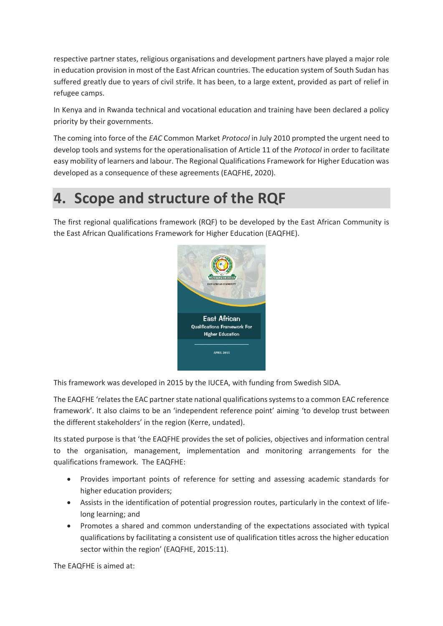respective partner states, religious organisations and development partners have played a major role in education provision in most of the East African countries. The education system of South Sudan has suffered greatly due to years of civil strife. It has been, to a large extent, provided as part of relief in refugee camps.

In Kenya and in Rwanda technical and vocational education and training have been declared a policy priority by their governments.

The coming into force of the *EAC* Common Market *Protocol* in July 2010 prompted the urgent need to develop tools and systems for the operationalisation of Article 11 of the *Protocol* in order to facilitate easy mobility of learners and labour. The Regional Qualifications Framework for Higher Education was developed as a consequence of these agreements (EAQFHE, 2020).

### <span id="page-11-0"></span>**4. Scope and structure of the RQF**

The first regional qualifications framework (RQF) to be developed by the East African Community is the East African Qualifications Framework for Higher Education (EAQFHE).



This framework was developed in 2015 by the IUCEA, with funding from Swedish SIDA.

The EAQFHE 'relates the EAC partner state national qualifications systems to a common EAC reference framework'. It also claims to be an 'independent reference point' aiming 'to develop trust between the different stakeholders' in the region (Kerre, undated).

Its stated purpose is that 'the EAQFHE provides the set of policies, objectives and information central to the organisation, management, implementation and monitoring arrangements for the qualifications framework. The EAQFHE:

- Provides important points of reference for setting and assessing academic standards for higher education providers;
- Assists in the identification of potential progression routes, particularly in the context of lifelong learning; and
- Promotes a shared and common understanding of the expectations associated with typical qualifications by facilitating a consistent use of qualification titles across the higher education sector within the region' (EAQFHE, 2015:11).

The EAQFHE is aimed at: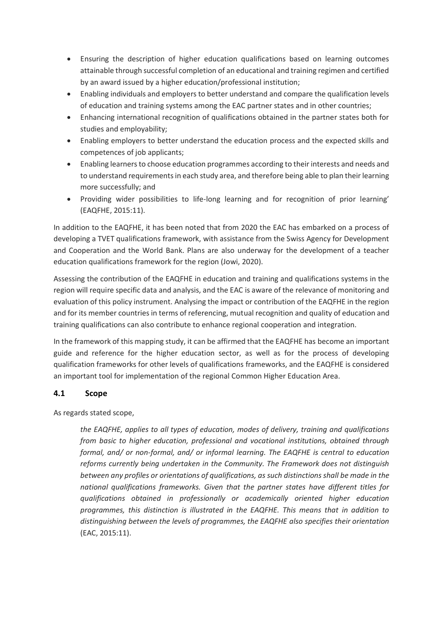- Ensuring the description of higher education qualifications based on learning outcomes attainable through successful completion of an educational and training regimen and certified by an award issued by a higher education/professional institution;
- Enabling individuals and employers to better understand and compare the qualification levels of education and training systems among the EAC partner states and in other countries;
- Enhancing international recognition of qualifications obtained in the partner states both for studies and employability;
- Enabling employers to better understand the education process and the expected skills and competences of job applicants;
- Enabling learners to choose education programmes according to their interests and needs and to understand requirements in each study area, and therefore being able to plan their learning more successfully; and
- Providing wider possibilities to life-long learning and for recognition of prior learning' (EAQFHE, 2015:11).

In addition to the EAQFHE, it has been noted that from 2020 the EAC has embarked on a process of developing a TVET qualifications framework, with assistance from the Swiss Agency for Development and Cooperation and the World Bank. Plans are also underway for the development of a teacher education qualifications framework for the region (Jowi, 2020).

Assessing the contribution of the EAQFHE in education and training and qualifications systems in the region will require specific data and analysis, and the EAC is aware of the relevance of monitoring and evaluation of this policy instrument. Analysing the impact or contribution of the EAQFHE in the region and for its member countries in terms of referencing, mutual recognition and quality of education and training qualifications can also contribute to enhance regional cooperation and integration.

In the framework of this mapping study, it can be affirmed that the EAQFHE has become an important guide and reference for the higher education sector, as well as for the process of developing qualification frameworks for other levels of qualifications frameworks, and the EAQFHE is considered an important tool for implementation of the regional Common Higher Education Area.

#### <span id="page-12-0"></span>**4.1 Scope**

As regards stated scope,

*the EAQFHE, applies to all types of education, modes of delivery, training and qualifications from basic to higher education, professional and vocational institutions, obtained through formal, and/ or non-formal, and/ or informal learning. The EAQFHE is central to education reforms currently being undertaken in the Community. The Framework does not distinguish between any profiles or orientations of qualifications, as such distinctions shall be made in the national qualifications frameworks. Given that the partner states have different titles for qualifications obtained in professionally or academically oriented higher education programmes, this distinction is illustrated in the EAQFHE. This means that in addition to distinguishing between the levels of programmes, the EAQFHE also specifies their orientation* (EAC, 2015:11).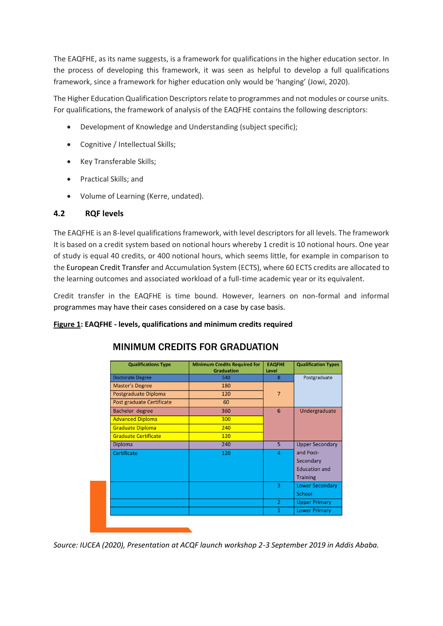The EAQFHE, as its name suggests, is a framework for qualifications in the higher education sector. In the process of developing this framework, it was seen as helpful to develop a full qualifications framework, since a framework for higher education only would be 'hanging' (Jowi, 2020).

The Higher Education Qualification Descriptors relate to programmes and not modules or course units. For qualifications, the framework of analysis of the EAQFHE contains the following descriptors:

- Development of Knowledge and Understanding (subject specific);
- Cognitive / Intellectual Skills;
- Key Transferable Skills;
- Practical Skills; and
- Volume of Learning (Kerre, undated).

#### <span id="page-13-0"></span>**4.2 RQF levels**

The EAQFHE is an 8-level qualifications framework, with level descriptors for all levels. The framework It is based on a credit system based on notional hours whereby 1 credit is 10 notional hours. One year of study is equal 40 credits, or 400 notional hours, which seems little, for example in comparison to the European Credit Transfer and Accumulation System (ECTS), where 60 ECTS credits are allocated to the learning outcomes and associated workload of a full-time academic year or its equivalent.

Credit transfer in the EAQFHE is time bound. However, learners on non-formal and informal programmes may have their cases considered on a case by case basis.

#### **Figure 1: EAQFHE - levels, qualifications and minimum credits required**

| <b>Qualifications Type</b>  | <b>Minimum Credits Required for</b><br><b>Graduation</b> | <b>EAQFHE</b><br>Level | <b>Qualification Types</b> |
|-----------------------------|----------------------------------------------------------|------------------------|----------------------------|
| <b>Doctorate Degree</b>     | 540                                                      | 8                      | Postgraduate               |
| <b>Master's Degree</b>      | 180                                                      |                        |                            |
| Postgraduate Diploma        | 120                                                      | $\overline{7}$         |                            |
| Post graduate Certificate   | 60                                                       |                        |                            |
| <b>Bachelor degree</b>      | 360                                                      | 6                      | Undergraduate              |
| <b>Advanced Diploma</b>     | 300                                                      |                        |                            |
| <b>Graduate Diploma</b>     | 240                                                      |                        |                            |
| <b>Graduate Certificate</b> | 120                                                      |                        |                            |
| Diploma                     | 240                                                      | 5                      | <b>Upper Secondary</b>     |
| Certificate                 | 120                                                      | $\overline{4}$         | and Post-                  |
|                             |                                                          |                        | Secondary                  |
|                             |                                                          |                        | <b>Education and</b>       |
|                             |                                                          |                        | <b>Training</b>            |
|                             |                                                          | 3                      | <b>Lower Secondary</b>     |
|                             |                                                          |                        | School                     |
|                             |                                                          | $\overline{2}$         | <b>Upper Primary</b>       |
|                             |                                                          | 1                      | <b>Lower Primary</b>       |

#### MINIMUM CREDITS FOR GRADUATION

*Source: IUCEA (2020), Presentation at ACQF launch workshop 2-3 September 2019 in Addis Ababa.*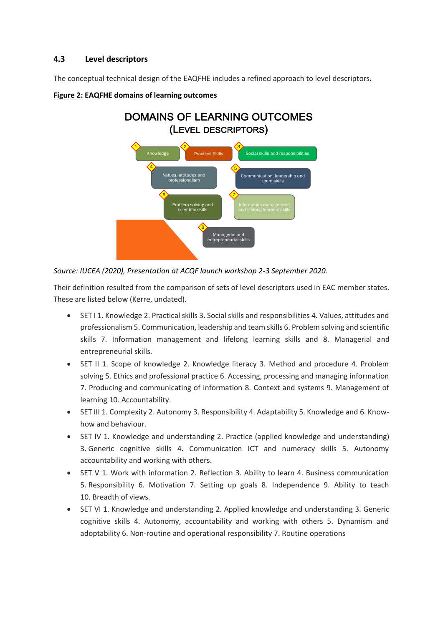#### <span id="page-14-0"></span>**4.3 Level descriptors**

The conceptual technical design of the EAQFHE includes a refined approach to level descriptors.



#### **Figure 2: EAQFHE domains of learning outcomes**

#### *Source: IUCEA (2020), Presentation at ACQF launch workshop 2-3 September 2020.*

Their definition resulted from the comparison of sets of level descriptors used in EAC member states. These are listed below (Kerre, undated).

- SET I 1. Knowledge 2. Practical skills 3. Social skills and responsibilities 4. Values, attitudes and professionalism 5. Communication, leadership and team skills 6. Problem solving and scientific skills 7. Information management and lifelong learning skills and 8. Managerial and entrepreneurial skills.
- SET II 1. Scope of knowledge 2. Knowledge literacy 3. Method and procedure 4. Problem solving 5. Ethics and professional practice 6. Accessing, processing and managing information 7. Producing and communicating of information 8. Context and systems 9. Management of learning 10. Accountability.
- SET III 1. Complexity 2. Autonomy 3. Responsibility 4. Adaptability 5. Knowledge and 6. Knowhow and behaviour.
- SET IV 1. Knowledge and understanding 2. Practice (applied knowledge and understanding) 3. Generic cognitive skills 4. Communication ICT and numeracy skills 5. Autonomy accountability and working with others.
- SET V 1. Work with information 2. Reflection 3. Ability to learn 4. Business communication 5. Responsibility 6. Motivation 7. Setting up goals 8. Independence 9. Ability to teach 10. Breadth of views.
- SET VI 1. Knowledge and understanding 2. Applied knowledge and understanding 3. Generic cognitive skills 4. Autonomy, accountability and working with others 5. Dynamism and adoptability 6. Non-routine and operational responsibility 7. Routine operations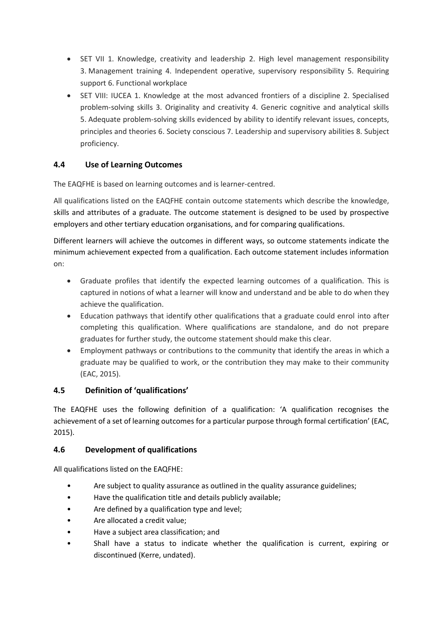- SET VII 1. Knowledge, creativity and leadership 2. High level management responsibility 3. Management training 4. Independent operative, supervisory responsibility 5. Requiring support 6. Functional workplace
- SET VIII: IUCEA 1. Knowledge at the most advanced frontiers of a discipline 2. Specialised problem-solving skills 3. Originality and creativity 4. Generic cognitive and analytical skills 5. Adequate problem-solving skills evidenced by ability to identify relevant issues, concepts, principles and theories 6. Society conscious 7. Leadership and supervisory abilities 8. Subject proficiency.

#### <span id="page-15-0"></span>**4.4 Use of Learning Outcomes**

The EAQFHE is based on learning outcomes and is learner-centred.

All qualifications listed on the EAQFHE contain outcome statements which describe the knowledge, skills and attributes of a graduate. The outcome statement is designed to be used by prospective employers and other tertiary education organisations, and for comparing qualifications.

Different learners will achieve the outcomes in different ways, so outcome statements indicate the minimum achievement expected from a qualification. Each outcome statement includes information on:

- Graduate profiles that identify the expected learning outcomes of a qualification. This is captured in notions of what a learner will know and understand and be able to do when they achieve the qualification.
- Education pathways that identify other qualifications that a graduate could enrol into after completing this qualification. Where qualifications are standalone, and do not prepare graduates for further study, the outcome statement should make this clear.
- Employment pathways or contributions to the community that identify the areas in which a graduate may be qualified to work, or the contribution they may make to their community (EAC, 2015).

#### <span id="page-15-1"></span>**4.5 Definition of 'qualifications'**

The EAQFHE uses the following definition of a qualification: 'A qualification recognises the achievement of a set of learning outcomes for a particular purpose through formal certification' (EAC, 2015).

#### <span id="page-15-2"></span>**4.6 Development of qualifications**

All qualifications listed on the EAQFHE:

- Are subject to quality assurance as outlined in the quality assurance guidelines;
- Have the qualification title and details publicly available;
- Are defined by a qualification type and level;
- Are allocated a credit value;
- Have a subject area classification; and
- Shall have a status to indicate whether the qualification is current, expiring or discontinued (Kerre, undated).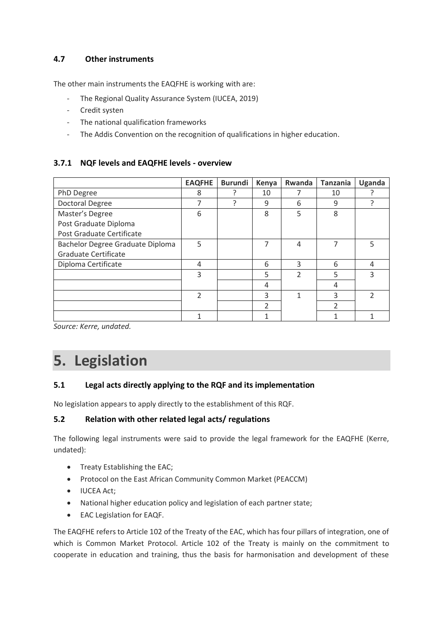#### <span id="page-16-0"></span>**4.7 Other instruments**

The other main instruments the EAQFHE is working with are:

- The Regional Quality Assurance System (IUCEA, 2019)
- Credit systen
- The national qualification frameworks
- The Addis Convention on the recognition of qualifications in higher education.

#### <span id="page-16-1"></span>**3.7.1 NQF levels and EAQFHE levels - overview**

|                                  | <b>EAQFHE</b>  | <b>Burundi</b> | Kenya          | Rwanda         | <b>Tanzania</b> | Uganda |
|----------------------------------|----------------|----------------|----------------|----------------|-----------------|--------|
| PhD Degree                       | 8              |                | 10             |                | 10              |        |
| Doctoral Degree                  | 7              |                | 9              | 6              | 9               |        |
| Master's Degree                  | 6              |                | 8              | 5              | 8               |        |
| Post Graduate Diploma            |                |                |                |                |                 |        |
| Post Graduate Certificate        |                |                |                |                |                 |        |
| Bachelor Degree Graduate Diploma | 5              |                | 7              | 4              | 7               | 5      |
| <b>Graduate Certificate</b>      |                |                |                |                |                 |        |
| Diploma Certificate              | 4              |                | 6              | 3              | 6               | 4      |
|                                  | 3              |                | 5              | $\mathfrak{D}$ | 5               | ς      |
|                                  |                |                | 4              |                | 4               |        |
|                                  | $\overline{2}$ |                | 3              | 1              | 3               |        |
|                                  |                |                | $\mathfrak{p}$ |                | $\mathfrak{p}$  |        |
|                                  |                |                |                |                |                 |        |

*Source: Kerre, undated.* 

### <span id="page-16-2"></span>**5. Legislation**

#### <span id="page-16-3"></span>**5.1 Legal acts directly applying to the RQF and its implementation**

No legislation appears to apply directly to the establishment of this RQF.

#### <span id="page-16-4"></span>**5.2 Relation with other related legal acts/ regulations**

The following legal instruments were said to provide the legal framework for the EAQFHE (Kerre, undated):

- Treaty Establishing the EAC;
- Protocol on the East African Community Common Market (PEACCM)
- IUCEA Act;
- National higher education policy and legislation of each partner state;
- EAC Legislation for EAQF.

The EAQFHE refers to Article 102 of the Treaty of the EAC, which has four pillars of integration, one of which is Common Market Protocol. Article 102 of the Treaty is mainly on the commitment to cooperate in education and training, thus the basis for harmonisation and development of these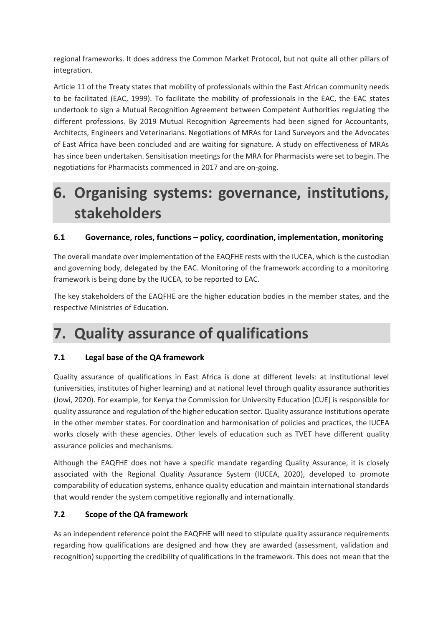regional frameworks. It does address the Common Market Protocol, but not quite all other pillars of integration.

Article 11 of the Treaty states that mobility of professionals within the East African community needs to be facilitated (EAC, 1999). To facilitate the mobility of professionals in the EAC, the EAC states undertook to sign a Mutual Recognition Agreement between Competent Authorities regulating the different professions. By 2019 Mutual Recognition Agreements had been signed for Accountants, Architects, Engineers and Veterinarians. Negotiations of MRAs for Land Surveyors and the Advocates of East Africa have been concluded and are waiting for signature. A study on effectiveness of MRAs has since been undertaken. Sensitisation meetings for the MRA for Pharmacists were set to begin. The negotiations for Pharmacists commenced in 2017 and are on-going.

### <span id="page-17-0"></span>**6. Organising systems: governance, institutions, stakeholders**

#### <span id="page-17-1"></span>**6.1 Governance, roles, functions – policy, coordination, implementation, monitoring**

The overall mandate over implementation of the EAQFHE rests with the IUCEA, which is the custodian and governing body, delegated by the EAC. Monitoring of the framework according to a monitoring framework is being done by the IUCEA, to be reported to EAC.

The key stakeholders of the EAQFHE are the higher education bodies in the member states, and the respective Ministries of Education.

### <span id="page-17-2"></span>**7. Quality assurance of qualifications**

#### <span id="page-17-3"></span>**7.1 Legal base of the QA framework**

Quality assurance of qualifications in East Africa is done at different levels: at institutional level (universities, institutes of higher learning) and at national level through quality assurance authorities (Jowi, 2020). For example, for Kenya the Commission for University Education (CUE) is responsible for quality assurance and regulation of the higher education sector. Quality assurance institutions operate in the other member states. For coordination and harmonisation of policies and practices, the IUCEA works closely with these agencies. Other levels of education such as TVET have different quality assurance policies and mechanisms.

Although the EAQFHE does not have a specific mandate regarding Quality Assurance, it is closely associated with the Regional Quality Assurance System (IUCEA, 2020), developed to promote comparability of education systems, enhance quality education and maintain international standards that would render the system competitive regionally and internationally.

#### <span id="page-17-4"></span>**7.2 Scope of the QA framework**

As an independent reference point the EAQFHE will need to stipulate quality assurance requirements regarding how qualifications are designed and how they are awarded (assessment, validation and recognition) supporting the credibility of qualifications in the framework. This does not mean that the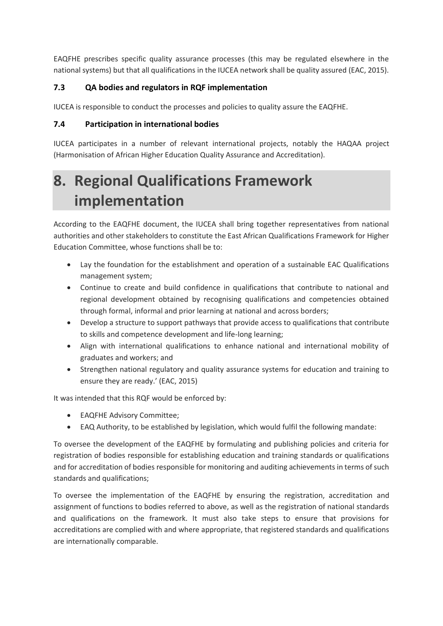EAQFHE prescribes specific quality assurance processes (this may be regulated elsewhere in the national systems) but that all qualifications in the IUCEA network shall be quality assured (EAC, 2015).

#### <span id="page-18-0"></span>**7.3 QA bodies and regulators in RQF implementation**

IUCEA is responsible to conduct the processes and policies to quality assure the EAQFHE.

#### <span id="page-18-1"></span>**7.4 Participation in international bodies**

IUCEA participates in a number of relevant international projects, notably the HAQAA project (Harmonisation of African Higher Education Quality Assurance and Accreditation).

# <span id="page-18-2"></span>**8. Regional Qualifications Framework implementation**

According to the EAQFHE document, the IUCEA shall bring together representatives from national authorities and other stakeholders to constitute the East African Qualifications Framework for Higher Education Committee, whose functions shall be to:

- Lay the foundation for the establishment and operation of a sustainable EAC Qualifications management system;
- Continue to create and build confidence in qualifications that contribute to national and regional development obtained by recognising qualifications and competencies obtained through formal, informal and prior learning at national and across borders;
- Develop a structure to support pathways that provide access to qualifications that contribute to skills and competence development and life-long learning;
- Align with international qualifications to enhance national and international mobility of graduates and workers; and
- Strengthen national regulatory and quality assurance systems for education and training to ensure they are ready.' (EAC, 2015)

It was intended that this RQF would be enforced by:

- EAQFHE Advisory Committee;
- EAQ Authority, to be established by legislation, which would fulfil the following mandate:

To oversee the development of the EAQFHE by formulating and publishing policies and criteria for registration of bodies responsible for establishing education and training standards or qualifications and for accreditation of bodies responsible for monitoring and auditing achievements in terms of such standards and qualifications;

To oversee the implementation of the EAQFHE by ensuring the registration, accreditation and assignment of functions to bodies referred to above, as well as the registration of national standards and qualifications on the framework. It must also take steps to ensure that provisions for accreditations are complied with and where appropriate, that registered standards and qualifications are internationally comparable.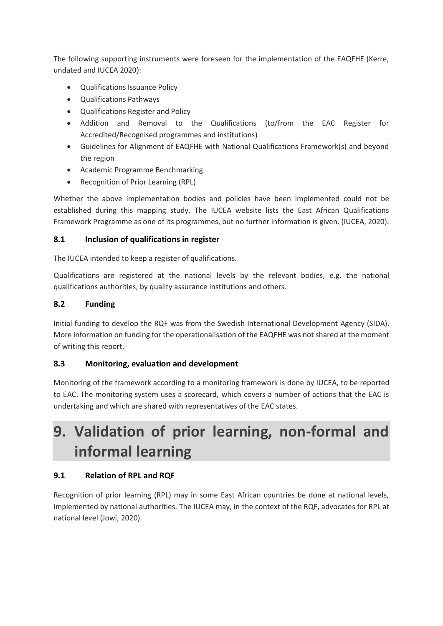The following supporting instruments were foreseen for the implementation of the EAQFHE (Kerre, undated and IUCEA 2020):

- Qualifications Issuance Policy
- Qualifications Pathways
- Qualifications Register and Policy
- Addition and Removal to the Qualifications (to/from the EAC Register for Accredited/Recognised programmes and institutions)
- Guidelines for Alignment of EAQFHE with National Qualifications Framework(s) and beyond the region
- Academic Programme Benchmarking
- Recognition of Prior Learning (RPL)

Whether the above implementation bodies and policies have been implemented could not be established during this mapping study. The IUCEA website lists the East African Qualifications Framework Programme as one of its programmes, but no further information is given. (IUCEA, 2020).

#### <span id="page-19-0"></span>**8.1 Inclusion of qualifications in register**

The IUCEA intended to keep a register of qualifications.

Qualifications are registered at the national levels by the relevant bodies, e.g. the national qualifications authorities, by quality assurance institutions and others.

#### <span id="page-19-1"></span>**8.2 Funding**

Initial funding to develop the RQF was from the Swedish International Development Agency (SIDA). More information on funding for the operationalisation of the EAQFHE was not shared at the moment of writing this report.

#### <span id="page-19-2"></span>**8.3 Monitoring, evaluation and development**

Monitoring of the framework according to a monitoring framework is done by IUCEA, to be reported to EAC. The monitoring system uses a scorecard, which covers a number of actions that the EAC is undertaking and which are shared with representatives of the EAC states.

## <span id="page-19-3"></span>**9. Validation of prior learning, non-formal and informal learning**

#### <span id="page-19-4"></span>**9.1 Relation of RPL and RQF**

Recognition of prior learning (RPL) may in some East African countries be done at national levels, implemented by national authorities. The IUCEA may, in the context of the RQF, advocates for RPL at national level (Jowi, 2020).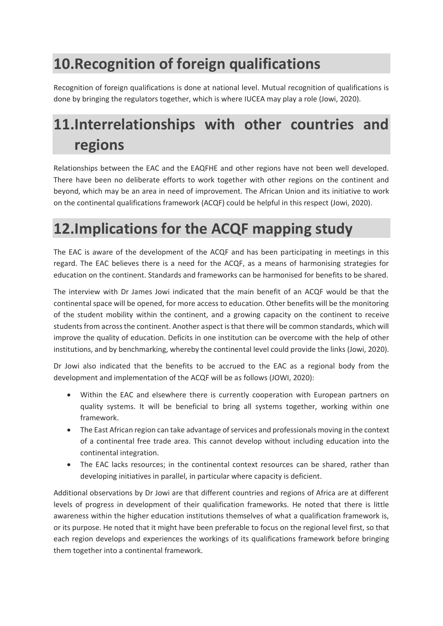# <span id="page-20-0"></span>**10.Recognition of foreign qualifications**

Recognition of foreign qualifications is done at national level. Mutual recognition of qualifications is done by bringing the regulators together, which is where IUCEA may play a role (Jowi, 2020).

# <span id="page-20-1"></span>**11.Interrelationships with other countries and regions**

Relationships between the EAC and the EAQFHE and other regions have not been well developed. There have been no deliberate efforts to work together with other regions on the continent and beyond, which may be an area in need of improvement. The African Union and its initiative to work on the continental qualifications framework (ACQF) could be helpful in this respect (Jowi, 2020).

### <span id="page-20-2"></span>**12.Implications for the ACQF mapping study**

The EAC is aware of the development of the ACQF and has been participating in meetings in this regard. The EAC believes there is a need for the ACQF, as a means of harmonising strategies for education on the continent. Standards and frameworks can be harmonised for benefits to be shared.

The interview with Dr James Jowi indicated that the main benefit of an ACQF would be that the continental space will be opened, for more access to education. Other benefits will be the monitoring of the student mobility within the continent, and a growing capacity on the continent to receive students from across the continent. Another aspect is that there will be common standards, which will improve the quality of education. Deficits in one institution can be overcome with the help of other institutions, and by benchmarking, whereby the continental level could provide the links (Jowi, 2020).

Dr Jowi also indicated that the benefits to be accrued to the EAC as a regional body from the development and implementation of the ACQF will be as follows (JOWI, 2020):

- Within the EAC and elsewhere there is currently cooperation with European partners on quality systems. It will be beneficial to bring all systems together, working within one framework.
- The East African region can take advantage of services and professionals moving in the context of a continental free trade area. This cannot develop without including education into the continental integration.
- The EAC lacks resources; in the continental context resources can be shared, rather than developing initiatives in parallel, in particular where capacity is deficient.

Additional observations by Dr Jowi are that different countries and regions of Africa are at different levels of progress in development of their qualification frameworks. He noted that there is little awareness within the higher education institutions themselves of what a qualification framework is, or its purpose. He noted that it might have been preferable to focus on the regional level first, so that each region develops and experiences the workings of its qualifications framework before bringing them together into a continental framework.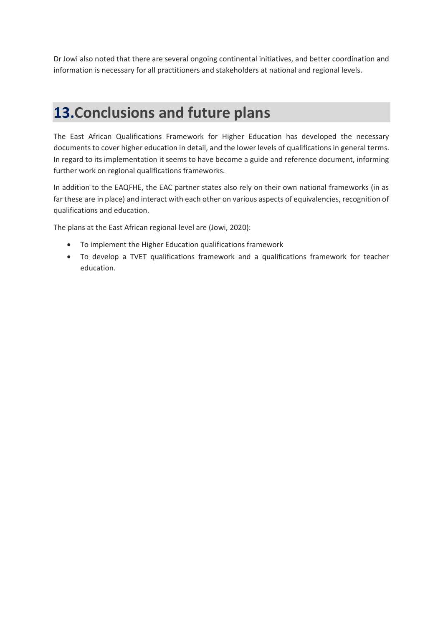Dr Jowi also noted that there are several ongoing continental initiatives, and better coordination and information is necessary for all practitioners and stakeholders at national and regional levels.

### <span id="page-21-0"></span>**13.Conclusions and future plans**

The East African Qualifications Framework for Higher Education has developed the necessary documents to cover higher education in detail, and the lower levels of qualifications in general terms. In regard to its implementation it seems to have become a guide and reference document, informing further work on regional qualifications frameworks.

In addition to the EAQFHE, the EAC partner states also rely on their own national frameworks (in as far these are in place) and interact with each other on various aspects of equivalencies, recognition of qualifications and education.

The plans at the East African regional level are (Jowi, 2020):

- To implement the Higher Education qualifications framework
- To develop a TVET qualifications framework and a qualifications framework for teacher education.